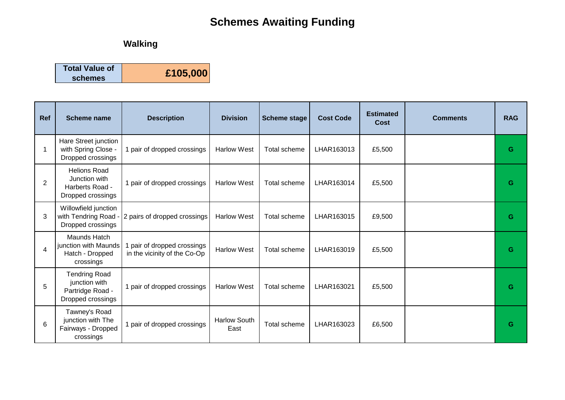## **Schemes Awaiting Funding**

## **Walking**

| <b>Total Value of</b> | £105,000 |
|-----------------------|----------|
| schemes               |          |

| <b>Ref</b> | <b>Scheme name</b>                                                             | <b>Description</b>                                          | <b>Division</b>             | <b>Scheme stage</b> | <b>Cost Code</b> | <b>Estimated</b><br><b>Cost</b> | <b>Comments</b> | <b>RAG</b> |
|------------|--------------------------------------------------------------------------------|-------------------------------------------------------------|-----------------------------|---------------------|------------------|---------------------------------|-----------------|------------|
| -1         | Hare Street junction<br>with Spring Close -<br>Dropped crossings               | 1 pair of dropped crossings                                 | <b>Harlow West</b>          | Total scheme        | LHAR163013       | £5,500                          |                 | G          |
| 2          | <b>Helions Road</b><br>Junction with<br>Harberts Road -<br>Dropped crossings   | 1 pair of dropped crossings                                 | <b>Harlow West</b>          | Total scheme        | LHAR163014       | £5,500                          |                 | G          |
| 3          | Willowfield junction<br>with Tendring Road -<br>Dropped crossings              | 2 pairs of dropped crossings                                | <b>Harlow West</b>          | Total scheme        | LHAR163015       | £9,500                          |                 | G          |
| 4          | Maunds Hatch<br>junction with Maunds<br>Hatch - Dropped<br>crossings           | 1 pair of dropped crossings<br>in the vicinity of the Co-Op | <b>Harlow West</b>          | Total scheme        | LHAR163019       | £5,500                          |                 | G          |
| 5          | <b>Tendring Road</b><br>junction with<br>Partridge Road -<br>Dropped crossings | 1 pair of dropped crossings                                 | <b>Harlow West</b>          | Total scheme        | LHAR163021       | £5,500                          |                 | G          |
| 6          | Tawney's Road<br>junction with The<br>Fairways - Dropped<br>crossings          | 1 pair of dropped crossings                                 | <b>Harlow South</b><br>East | Total scheme        | LHAR163023       | £6,500                          |                 | G          |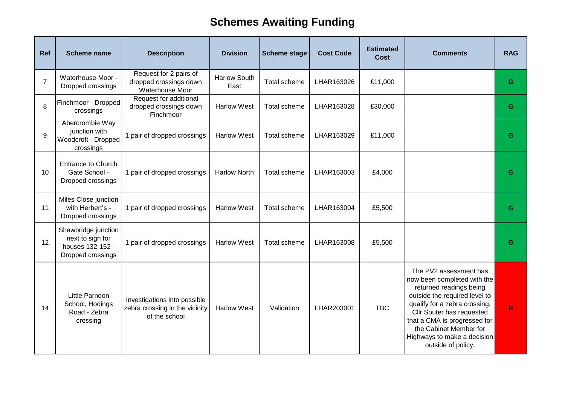## **Schemes Awaiting Funding**

| Ref            | <b>Scheme name</b>                                                               | <b>Description</b>                                                              | <b>Division</b>             | <b>Scheme stage</b> | <b>Cost Code</b> | <b>Estimated</b><br><b>Cost</b> | <b>Comments</b>                                                                                                                                                                                                                                                                                | <b>RAG</b> |
|----------------|----------------------------------------------------------------------------------|---------------------------------------------------------------------------------|-----------------------------|---------------------|------------------|---------------------------------|------------------------------------------------------------------------------------------------------------------------------------------------------------------------------------------------------------------------------------------------------------------------------------------------|------------|
| $\overline{7}$ | Waterhouse Moor -<br>Dropped crossings                                           | Request for 2 pairs of<br>dropped crossings down<br>Waterhouse Moor             | <b>Harlow South</b><br>East | Total scheme        | LHAR163026       | £11,000                         |                                                                                                                                                                                                                                                                                                | G          |
| 8              | Finchmoor - Dropped<br>crossings                                                 | Request for additional<br>dropped crossings down<br>Finchmoor                   | <b>Harlow West</b>          | Total scheme        | LHAR163028       | £30,000                         |                                                                                                                                                                                                                                                                                                | G          |
| 9              | Abercrombie Way<br>junction with<br>Woodcroft - Dropped<br>crossings             | 1 pair of dropped crossings                                                     | <b>Harlow West</b>          | Total scheme        | LHAR163029       | £11,000                         |                                                                                                                                                                                                                                                                                                | G          |
| 10             | <b>Entrance to Church</b><br>Gate School -<br>Dropped crossings                  | 1 pair of dropped crossings                                                     | <b>Harlow North</b>         | Total scheme        | LHAR163003       | £4,000                          |                                                                                                                                                                                                                                                                                                | G          |
| 11             | Miles Close junction<br>with Herbert's -<br>Dropped crossings                    | 1 pair of dropped crossings                                                     | <b>Harlow West</b>          | Total scheme        | LHAR163004       | £5,500                          |                                                                                                                                                                                                                                                                                                | G          |
| 12             | Shawbridge junction<br>next to sign for<br>houses 132-152 -<br>Dropped crossings | 1 pair of dropped crossings                                                     | <b>Harlow West</b>          | Total scheme        | LHAR163008       | £5,500                          |                                                                                                                                                                                                                                                                                                | G          |
| 14             | Little Parndon<br>School, Hodings<br>Road - Zebra<br>crossing                    | Investigations into possible<br>zebra crossing in the vicinity<br>of the school | <b>Harlow West</b>          | Validation          | LHAR203001       | <b>TBC</b>                      | The PV2 assessment has<br>now been completed with the<br>returned readings being<br>outside the required level to<br>qualify for a zebra crossing.<br>Cllr Souter has requested<br>that a CMA is progressed for<br>the Cabinet Member for<br>Highways to make a decision<br>outside of policy. | R          |